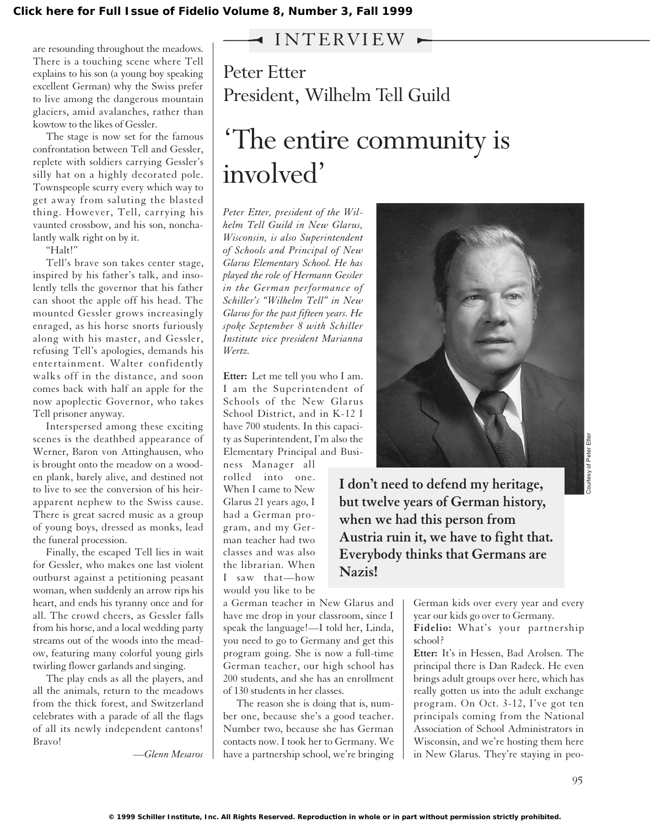## INTERVIEW

are resounding throughout the meadows. There is a touching scene where Tell explains to his son (a young boy speaking excellent German) why the Swiss prefer to live among the dangerous mountain glaciers, amid avalanches, rather than kowtow to the likes of Gessler.

The stage is now set for the famous confrontation between Tell and Gessler, replete with soldiers carrying Gessler's silly hat on a highly decorated pole. Townspeople scurry every which way to get away from saluting the blasted thing. However, Tell, carrying his vaunted crossbow, and his son, nonchalantly walk right on by it.

"Halt!"

Tell's brave son takes center stage, inspired by his father's talk, and insolently tells the governor that his father can shoot the apple off his head. The mounted Gessler grows increasingly enraged, as his horse snorts furiously along with his master, and Gessler, refusing Tell's apologies, demands his entertainment. Walter confidently walks off in the distance, and soon comes back with half an apple for the now apoplectic Governor, who takes Tell prisoner anyway.

Interspersed among these exciting scenes is the deathbed appearance of Werner, Baron von Attinghausen, who is brought onto the meadow on a wooden plank, barely alive, and destined not to live to see the conversion of his heirapparent nephew to the Swiss cause. There is great sacred music as a group of young boys, dressed as monks, lead the funeral procession.

Finally, the escaped Tell lies in wait for Gessler, who makes one last violent outburst against a petitioning peasant woman, when suddenly an arrow rips his heart, and ends his tyranny once and for all. The crowd cheers, as Gessler falls from his horse, and a local wedding party streams out of the woods into the meadow, featuring many colorful young girls twirling flower garlands and singing.

The play ends as all the players, and all the animals, return to the meadows from the thick forest, and Switzerland celebrates with a parade of all the flags of all its newly independent cantons! Bravo!

*—Glenn Mesaros*

Peter Etter President, Wilhelm Tell Guild

## 'The entire community is involved'

*Peter Etter, president of the Wilhelm Tell Guild in New Glarus, Wisconsin, is also Superintendent of Schools and Principal of New Glarus Elementary School. He has played the role of Hermann Gessler in the German performance of Schiller's "Wilhelm Tell" in New Glarus for the past fifteen years. He spoke September 8 with Schiller Institute vice president Marianna Wertz.*

**Etter:** Let me tell you who I am. I am the Superintendent of Schools of the New Glarus School District, and in K-12 I have 700 students. In this capacity as Superintendent, I'm also the Elementary Principal and Busi-

ness Manager all rolled into one. When I came to New Glarus 21 years ago, I had a German program, and my German teacher had two classes and was also the librarian. When I saw that—how would you like to be

a German teacher in New Glarus and have me drop in your classroom, since I speak the language!—I told her, Linda, you need to go to Germany and get this program going. She is now a full-time German teacher, our high school has 200 students, and she has an enrollment of 130 students in her classes.

The reason she is doing that is, number one, because she's a good teacher. Number two, because she has German contacts now. I took her to Germany. We have a partnership school, we're bringing



**I don't need to defend my heritage, but twelve years of German history, when we had this person from Austria ruin it, we have to fight that. Everybody thinks that Germans are Nazis!**

> German kids over every year and every year our kids go over to Germany. **Fidelio:** What's your partnership

school?

**Etter:** It's in Hessen, Bad Arolsen. The principal there is Dan Radeck. He even brings adult groups over here, which has really gotten us into the adult exchange program. On Oct. 3-12, I've got ten principals coming from the National Association of School Administrators in Wisconsin, and we're hosting them here in New Glarus. They're staying in peo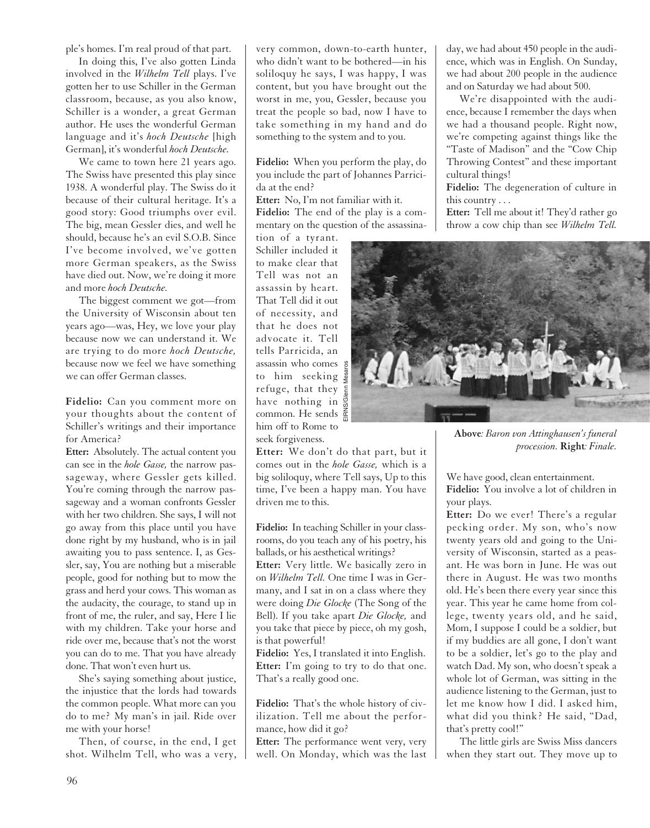ple's homes. I'm real proud of that part.

In doing this, I've also gotten Linda involved in the *Wilhelm Tell* plays. I've gotten her to use Schiller in the German classroom, because, as you also know, Schiller is a wonder, a great German author. He uses the wonderful German language and it's *hoch Deutsche* [high German], it's wonderful *hoch Deutsche.*

We came to town here 21 years ago. The Swiss have presented this play since 1938. A wonderful play. The Swiss do it because of their cultural heritage. It's a good story: Good triumphs over evil. The big, mean Gessler dies, and well he should, because he's an evil S.O.B. Since I've become involved, we've gotten more German speakers, as the Swiss have died out. Now, we're doing it more and more *hoch Deutsche.*

The biggest comment we got—from the University of Wisconsin about ten years ago—was, Hey, we love your play because now we can understand it. We are trying to do more *hoch Deutsche,* because now we feel we have something we can offer German classes.

**Fidelio:** Can you comment more on your thoughts about the content of Schiller's writings and their importance for America?

**Etter:** Absolutely. The actual content you can see in the *hole Gasse,* the narrow passageway, where Gessler gets killed. You're coming through the narrow passageway and a woman confronts Gessler with her two children. She says, I will not go away from this place until you have done right by my husband, who is in jail awaiting you to pass sentence. I, as Gessler, say, You are nothing but a miserable people, good for nothing but to mow the grass and herd your cows. This woman as the audacity, the courage, to stand up in front of me, the ruler, and say, Here I lie with my children. Take your horse and ride over me, because that's not the worst you can do to me. That you have already done. That won't even hurt us.

She's saying something about justice, the injustice that the lords had towards the common people. What more can you do to me? My man's in jail. Ride over me with your horse!

Then, of course, in the end, I get shot. Wilhelm Tell, who was a very, very common, down-to-earth hunter, who didn't want to be bothered—in his soliloquy he says, I was happy, I was content, but you have brought out the worst in me, you, Gessler, because you treat the people so bad, now I have to take something in my hand and do something to the system and to you.

**Fidelio:** When you perform the play, do you include the part of Johannes Parricida at the end?

**Etter:** No, I'm not familiar with it.

**Fidelio:** The end of the play is a commentary on the question of the assassina-

tion of a tyrant. Schiller included it to make clear that Tell was not an assassin by heart. That Tell did it out of necessity, and that he does not advocate it. Tell tells Parricida, an assassin who comes to him seeking refuge, that they have nothing in  $\frac{3}{8}$ common. He sends  $\triangleq$ him off to Rome to seek forgiveness.

**Etter:** We don't do that part, but it comes out in the *hole Gasse,* which is a big soliloquy, where Tell says, Up to this time, I've been a happy man. You have driven me to this.

**Fidelio:** In teaching Schiller in your classrooms, do you teach any of his poetry, his ballads, or his aesthetical writings?

**Etter:** Very little. We basically zero in on *Wilhelm Tell.* One time I was in Germany, and I sat in on a class where they were doing *Die Glocke* (The Song of the Bell). If you take apart *Die Glocke,* and you take that piece by piece, oh my gosh, is that powerful!

**Fidelio:** Yes, I translated it into English. **Etter:** I'm going to try to do that one. That's a really good one.

**Fidelio:** That's the whole history of civilization. Tell me about the performance, how did it go?

**Etter:** The performance went very, very well. On Monday, which was the last

day, we had about 450 people in the audience, which was in English. On Sunday, we had about 200 people in the audience and on Saturday we had about 500.

We're disappointed with the audience, because I remember the days when we had a thousand people. Right now, we're competing against things like the "Taste of Madison" and the "Cow Chip Throwing Contest" and these important cultural things!

**Fidelio:** The degeneration of culture in this country . . .

**Etter:** Tell me about it! They'd rather go throw a cow chip than see *Wilhelm Tell.*



**Above***: Baron von Attinghausen's funeral procession.* **Right***: Finale.*

We have good, clean entertainment. **Fidelio:** You involve a lot of children in your plays.

**Etter:** Do we ever! There's a regular pecking order. My son, who's now twenty years old and going to the University of Wisconsin, started as a peasant. He was born in June. He was out there in August. He was two months old. He's been there every year since this year. This year he came home from college, twenty years old, and he said, Mom, I suppose I could be a soldier, but if my buddies are all gone, I don't want to be a soldier, let's go to the play and watch Dad. My son, who doesn't speak a whole lot of German, was sitting in the audience listening to the German, just to let me know how I did. I asked him, what did you think? He said, "Dad, that's pretty cool!"

The little girls are Swiss Miss dancers when they start out. They move up to